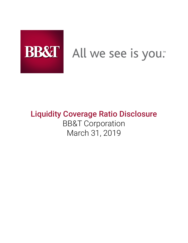

# BB&T All we see is you.

# Liquidity Coverage Ratio Disclosure BB&T Corporation March 31, 2019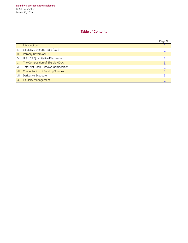# **Table of Contents**

|                 |                                     | Page No.       |
|-----------------|-------------------------------------|----------------|
| Ъ.              | <b>Introduction</b>                 |                |
| $\mathbf{II}$ . | Liquidity Coverage Ratio (LCR)      |                |
| III.            | <b>Primary Drivers of LCR</b>       |                |
| IV.             | U.S. LCR Quantitative Disclosure    |                |
| V.              | The Composition of Eligible HQLA    |                |
| VI.             | Total Net Cash Outflows Composition |                |
| VII.            | Concentration of Funding Sources    | $\overline{3}$ |
|                 | VIII. Derivative Exposure           |                |
| IX.             | <b>Liquidity Management</b>         |                |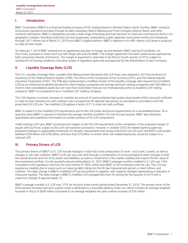#### <span id="page-2-0"></span>**I. Introduction**

BB&T Corporation (BB&T) is a financial holding company (FHC) headquartered in Winston-Salem, North Carolina. BB&T conducts its business operations primarily through its bank subsidiary, Branch Banking and Trust Company (Branch Bank), and other nonbank subsidiaries. BB&T's subsidiaries provide a wide range of banking and trust services for retail and commercial clients in its geographic markets, including small and mid-size businesses, corporations, public agencies, local governments and individuals, through 1,871 offices (as of March 31, 2019) and BB&T's digital platform. BB&T's objective is to offer clients a full array of products to meet all their needs.

On February 7, 2019, BB&T entered into an agreement and plan of merger, by and between BB&T and SunTrust Banks, Inc. (SunTrust), pursuant to which SunTrust will merge with and into BB&T. The merger agreement has been unanimously approved by both companies' Boards of Directors. The merger is expected to close late in the third or fourth quarter of 2019, subject to satisfaction of closing conditions, including receipt of regulatory approvals and approval by the shareholders of each company.

#### **II. Liquidity Coverage Ratio (LCR)**

The U.S. Liquidity Coverage Ratio: Liquidity Risk Measurement Standards (the LCR Rule), was adopted in 2014 by the Board of Governors of the Federal Reserve System (FRB), The Office of the Comptroller of the Currency (OCC), and the Federal Deposit Insurance Corporation (FDIC). The FRB also implemented a modified version of the liquidity coverage ratio requirement (modified LCR) as an enhanced prudential standard for bank holding companies and savings and loan holding companies with \$50 billion or more in total consolidated assets but not more than \$250 billion that are not internationally active (a modified LCR holding company). BB&T is considered to be a "modified LCR" holding company.

The LCR requires a covered company to maintain an amount of unencumbered high-quality liquid assets (HQLA amount) sufficient to meet its total stressed net cash outflows over a prospective 30 calendar-day period, as calculated in accordance with the prescribed US LCR rule. The modified LCR applies a factor of 0.7 to total net cash outflows.

BB&T is subject to the modified LCR requirements and to the LCR public disclosure requirements on a consolidated basis. On a quarterly basis BB&T is required to disclose the average monthly modified LCR over the past quarter. BB&T also discloses quantitative and qualitative information on certain portions of its LCR components.

Under existing LCR rules, BB&T would become subject to the full LCR requirements at the completion of the proposed merger of equals with SunTrust, subject to the LCR rule transition provisions. However, in October 2018, the federal banking agencies proposed changes to applicability thresholds for liquidity requirements that would amend the full LCR such that BHC's with assets between \$250 billion and \$700 billion, and less than \$75 billion in certain other risk related exposures, would be subject to a reduced LCR.

#### **III. Primary Drivers of LCR**

The primary drivers of BB&T's U.S. LCR include changes in total HQLA and composition of Level 1 and Level 2 assets, as well as changes in net cash outflows. BB&T's LCR can vary over time through a combination of structural balance sheet changes in both the overall amount and mix of its assets and liabilities, as well as movements in the market volatility that impact the fair value of the investment portfolio. For the quarterly period ending March 31, 2019, BB&T's average monthly modified U.S. LCR was 130% compared to the regulatory minimum for such entities of 100%, which puts BB&T in full compliance with the rule. The LCR can experience volatility due to issues such as maturing debt rolling into the 30 day measurement period, or client inflows and outflows. The daily change in BB&T's modified LCR can be positive or negative, with negative changes representing a reduction in measured liquidity. The daily change in BB&T's modified LCR averaged less than 2% during the first quarter of 2019 with a maximum change of approximately 7%.

BB&T's average monthly U.S. LCR was 127% for the prior three month period ended December 31, 2018. The primary driver of the three percent increase over prior quarter result is attributed to a favorable balance sheet mix, which includes an average weighted increase in HQLA of \$649 million compared to an average weighted net cash outflow increase of \$24 million.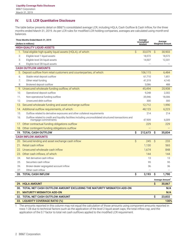# <span id="page-3-0"></span>**IV. U.S. LCR Quantitative Disclosure**

The table below presents detail on BB&T's consolidated average LCR, including HQLA, Cash Outflow & Cash Inflow, for the three months ended March 31, 2019. As per LCR rules for modified LCR holding companies, averages are calculated using month-end balances.

| Three Months Ended March 31, 2019<br>(dollars in millions) |                                                                                                                                 |              | Average<br>Unweighted<br>Amount |           | Average<br><b>Weighted Amount</b> |  |  |
|------------------------------------------------------------|---------------------------------------------------------------------------------------------------------------------------------|--------------|---------------------------------|-----------|-----------------------------------|--|--|
| <b>HIGH-QUALITY LIQUID ASSETS</b>                          |                                                                                                                                 |              |                                 |           |                                   |  |  |
|                                                            | 1. Total eligible high-quality liquid assets (HQLA), of which:                                                                  | $\mathsf{S}$ | 33,079                          | $\hat{S}$ | 30,903                            |  |  |
| 2.                                                         | Eligible level 1 liquid assets                                                                                                  |              | 18,572                          |           | 18,572                            |  |  |
| 3.                                                         | Eligible level 2A liquid assets                                                                                                 |              | 14,507                          |           | 12,331                            |  |  |
| 4.                                                         | Eligible level 2B liquid assets                                                                                                 |              |                                 |           |                                   |  |  |
|                                                            | <b>CASH OUTFLOW AMOUNTS</b>                                                                                                     |              |                                 |           |                                   |  |  |
|                                                            | 5. Deposit outflow from retail customers and counterparties, of which:                                                          |              | 106,115                         |           | 6,484                             |  |  |
| 6.                                                         | Stable retail deposit outflow                                                                                                   |              | 61,710                          |           | 1,851                             |  |  |
| 7.                                                         | Other retail funding                                                                                                            |              | 41,319                          |           | 4,145                             |  |  |
| 8.                                                         | Brokered deposit outflow                                                                                                        |              | 3,086                           |           | 488                               |  |  |
| 9.                                                         | Unsecured wholesale funding outflow, of which:                                                                                  |              | 45,494                          |           | 20,908                            |  |  |
| 10.                                                        | Operational deposit outflow                                                                                                     |              | 9,248                           |           | 2,302                             |  |  |
| 11.                                                        | Non-operational funding outflow                                                                                                 |              | 35,946                          |           | 18,306                            |  |  |
| 12.                                                        | Unsecured debt outflow                                                                                                          |              | 300                             |           | 300                               |  |  |
| 13.                                                        | Secured wholesale funding and asset exchange outflow                                                                            |              | 12,712                          |           | 1,990                             |  |  |
|                                                            | 14. Additional outflow requirements, of which:                                                                                  |              | 48,123                          |           | 6,223                             |  |  |
| 15.                                                        | Outflow related to derivative exposures and other collateral requirements                                                       |              | 214                             |           | 214                               |  |  |
| 16.                                                        | Outflow related to credit and liquidity facilities including unconsolidated structured transactions and<br>mortgage commitments |              | 47,909                          |           | 6,009                             |  |  |
| $1/$ .                                                     | Other contractual funding obligations outflow                                                                                   |              | 229                             |           | 229                               |  |  |
| 18.                                                        | Other contingent funding obligations outflow                                                                                    |              |                                 |           |                                   |  |  |
|                                                            | 19. TOTAL CASH OUTFLOW                                                                                                          | \$           | 212,673                         | \$        | 35,834                            |  |  |
|                                                            | <b>CASH INFLOW AMOUNTS</b>                                                                                                      |              |                                 |           |                                   |  |  |
|                                                            | 20. Secured lending and asset exchange cash inflow                                                                              | \$           | 245                             | \$        | 233                               |  |  |
| 21.                                                        | Retail cash inflow                                                                                                              |              | 1,130                           |           | 565                               |  |  |
|                                                            | 22. Unsecured wholesale cash inflow                                                                                             |              | 1,674                           |           | 848                               |  |  |
| 23.                                                        | Other cash inflows, of which:                                                                                                   |              | 144                             |           | 144                               |  |  |
| 24.                                                        | Net derivative cash inflow                                                                                                      |              | 13                              |           | 13                                |  |  |
| 25.                                                        | Securities cash inflow                                                                                                          |              | 95                              |           | 95                                |  |  |
| 26.                                                        | Broker-dealer segregated account inflow                                                                                         |              | 36                              |           | 36                                |  |  |
| 27.                                                        | Other cash inflow                                                                                                               |              |                                 |           |                                   |  |  |
|                                                            | 28. TOTAL CASH INFLOW                                                                                                           | \$           | 3,193                           | \$        | 1,790                             |  |  |
|                                                            |                                                                                                                                 |              |                                 |           | Average Amount <sup>1</sup>       |  |  |
|                                                            | 29. HQLA AMOUNT                                                                                                                 |              |                                 | \$        | 30,867                            |  |  |
|                                                            | 30. TOTAL NET CASH OUTFLOW AMOUNT EXCLUDING THE MATURITY MISMATCH ADD-ON                                                        |              |                                 |           | N/A                               |  |  |
|                                                            | 31. MATURITY MISMATCH ADD-ON                                                                                                    |              |                                 |           | N/A                               |  |  |
|                                                            | 32. TOTAL NET CASH OUTFLOW AMOUNT                                                                                               |              |                                 | \$        | 23,832                            |  |  |
|                                                            | 33. LIQUIDITY COVERAGE RATIO (%)                                                                                                |              |                                 |           | 130%                              |  |  |

1 The amounts reported in this column may not equal the calculation of those amounts using component amounts reported in rows 1-28 due to technical factors such as the application of the level 2 liquid asset caps, the total inflow cap, and the application of the 0.7 factor to total net cash outflows applied to the modified LCR requirement.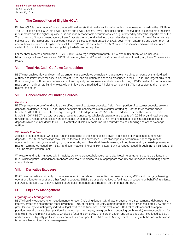# <span id="page-4-0"></span>**V. The Composition of Eligible HQLA**

Eligible HQLA is the amount of unencumbered liquid assets that qualify for inclusion within the numerator based on the LCR Rule. The LCR Rule divides HQLA into Level 1 assets and Level 2 assets. Level 1 includes Federal Reserve Bank balances net of reserve requirements and the highest quality liquid and readily-marketable securities issued or guaranteed by either the Department of the Treasury or a U.S. government agency. Level 2 assets are further divided into categories designated A and B. Level 2A assets are subject to a 15% haircut and include certain securities issued or guaranteed by a U.S. government enterprise and government, or central bank securities not eligible for Level 1. Level 2B assets are subject to a 50% haircut and include certain debt securities, certain U.S. municipal securities, and publicly traded common equities.

For the three months ended March 31, 2019, BB&T's average weighted monthly HQLA was \$30.9 billion, which includes \$18.6 billion of eligible Level 1 assets and \$12.3 billion of eligible Level 2 assets. BB&T currently does not qualify any Level 2B assets as HQLA.

#### **VI. Total Net Cash Outflows Composition**

BB&T's net cash outflow and cash inflow amounts are calculated by multiplying average unweighted amounts by standardized outflow and inflow rates for assets, sources of funds, and obligation balances as prescribed in the LCR rule. The largest drivers of BB&T's weighted outflows are deposits, credit and liquidity commitments, and wholesale funding. BB&T's cash inflow amounts are made up primarily of retail and wholesale loan inflows. As a modified LCR holding company, BB&T is not subject to the maturity mismatch add-on.

#### **VII. Concentration of Funding Sources**

#### *Deposits*

BB&T's primary source of funding is a diversified base of customer deposits. A significant portion of customer deposits are retail deposits, as defined in the LCR rule. These deposits are considered a stable source of funding. For the three months ended March 31, 2019, BB&T had total average unweighted retail deposits of \$106.1 billion. In addition, for the three months ended March 31, 2019, BB&T had total average unweighted unsecured wholesale operational deposits of \$9.2 billion, and total average unweighted unsecured wholesale non-operational funding of \$35.9 billion. The remaining deposit base includes public fund deposits which are included within LCR Quantitative Disclosure table line 13, secured wholesale funding and asset exchange outflow.

#### *Wholesale Funding*

Access to capital markets wholesale funding is required to the extent asset growth is in excess of what can be funded with deposits. Short-term borrowings may include federal funds purchased, Eurodollar deposits, commercial paper, repurchase agreements, borrowings secured by high-grade assets, and other short-term borrowings. Long-term funding consists primarily of medium-term notes issued from BB&T and bank notes and Federal Home Loan Bank advances issued through Branch Banking and Trust Company (Branch Bank).

Wholesale funding is managed within liquidity policy tolerances, balance-sheet objectives, interest-rate risk considerations, and BB&T's risk appetite. Management monitors wholesale funding to ensure appropriate maturity diversification and funding source concentrations.

### **VIII. Derivative Exposure**

BB&T uses derivatives primarily to manage economic risk related to securities, commercial loans, MSRs and mortgage banking operations, long-term debt and other funding sources. BB&T also uses derivatives to facilitate transactions on behalf of its clients. For LCR purposes, BB&T's derivative exposure does not constitute a material portion of net outflows.

#### **IX. Liquidity Management**

#### *Liquidity Risk Management*

BB&T's liquidity objective is to meet demands for cash (including deposit withdrawals, payments, disbursements, debt maturity, interest, preferred and common stock dividends) 100% of the time. Liquidity is monitored both at a fully consolidated view and at a granular level by evaluating key individual legal entities and functions. In this evaluation, BB&T takes into account its capital position, overall balance sheet position (i.e., level of problem loans, loan growth and deposit growth trends), market conditions for financial firms and relative access to wholesale funding, complexity of the organization, and unique liquidity risks faced by BB&T, and ensures the liquidity profile is consistent with its risk appetite. BB&T's Funds Management, working with the lines of business, is responsible for liquidity risk management.